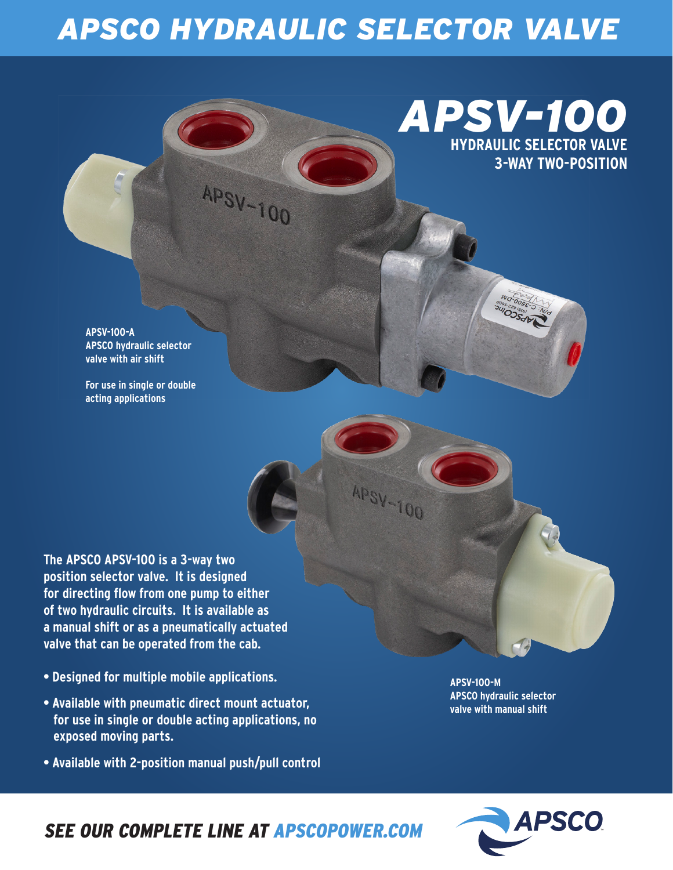# *APSCO HYDRAULIC SELECTOR VALVE*

**APSV-100** 

**APSV-100** 

### *APSV-100* **HYDRAULIC SELECTOR VALVE 3-WAY TWO-POSITION**

WO-005E-3 :N OSSOFT

**APSV-100-A APSCO hydraulic selector valve with air shift**

**For use in single or double acting applications**

**The APSCO APSV-100 is a 3-way two position selector valve. It is designed for directing flow from one pump to either of two hydraulic circuits. It is available as a manual shift or as a pneumatically actuated valve that can be operated from the cab.** 

- **Designed for multiple mobile applications.**
- **Available with pneumatic direct mount actuator, for use in single or double acting applications, no exposed moving parts.**
- **Available with 2-position manual push/pull control**

**APSV-100-M APSCO hydraulic selector valve with manual shift**



#### *SEE OUR COMPLETE LINE AT APSCOPOWER.COM*